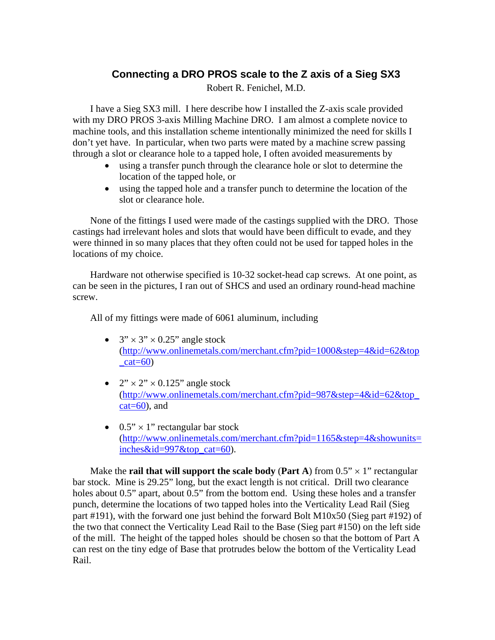## **Connecting a DRO PROS scale to the Z axis of a Sieg SX3**

Robert R. Fenichel, M.D.

I have a Sieg SX3 mill. I here describe how I installed the Z-axis scale provided with my DRO PROS 3-axis Milling Machine DRO. I am almost a complete novice to machine tools, and this installation scheme intentionally minimized the need for skills I don't yet have. In particular, when two parts were mated by a machine screw passing through a slot or clearance hole to a tapped hole, I often avoided measurements by

- using a transfer punch through the clearance hole or slot to determine the location of the tapped hole, or
- using the tapped hole and a transfer punch to determine the location of the slot or clearance hole.

None of the fittings I used were made of the castings supplied with the DRO. Those castings had irrelevant holes and slots that would have been difficult to evade, and they were thinned in so many places that they often could not be used for tapped holes in the locations of my choice.

Hardware not otherwise specified is 10-32 socket-head cap screws. At one point, as can be seen in the pictures, I ran out of SHCS and used an ordinary round-head machine screw.

All of my fittings were made of 6061 aluminum, including

- $\bullet$  3"  $\times$  3"  $\times$  0.25" angle stock (http://www.onlinemetals.com/merchant.cfm?pid=1000&step=4&id=62&top  $cat=60$
- $\bullet$  2"  $\times$  2"  $\times$  0.125" angle stock (http://www.onlinemetals.com/merchant.cfm?pid=987&step=4&id=62&top\_  $cat=60$ , and
- $\bullet$  0.5"  $\times$  1" rectangular bar stock (http://www.onlinemetals.com/merchant.cfm?pid=1165&step=4&showunits= inches $&$ id=997 $&$ top cat=60).

Make the **rail that will support the scale body** (Part A) from  $0.5$ "  $\times$  1" rectangular bar stock. Mine is 29.25" long, but the exact length is not critical. Drill two clearance holes about 0.5" apart, about 0.5" from the bottom end. Using these holes and a transfer punch, determine the locations of two tapped holes into the Verticality Lead Rail (Sieg part #191), with the forward one just behind the forward Bolt M10x50 (Sieg part #192) of the two that connect the Verticality Lead Rail to the Base (Sieg part #150) on the left side of the mill. The height of the tapped holes should be chosen so that the bottom of Part A can rest on the tiny edge of Base that protrudes below the bottom of the Verticality Lead Rail.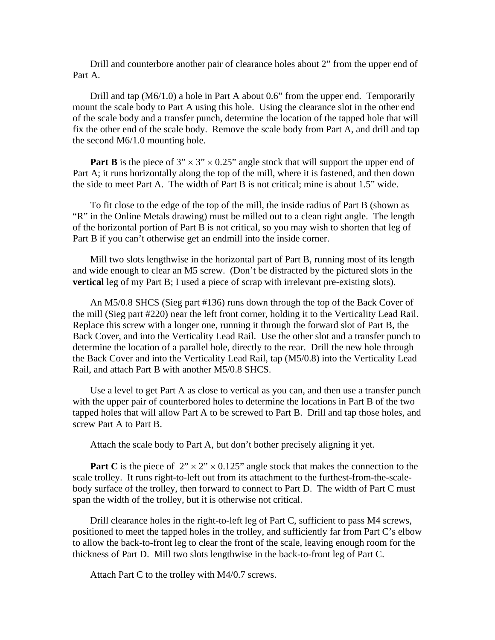Drill and counterbore another pair of clearance holes about 2" from the upper end of Part A.

Drill and tap (M6/1.0) a hole in Part A about 0.6" from the upper end. Temporarily mount the scale body to Part A using this hole. Using the clearance slot in the other end of the scale body and a transfer punch, determine the location of the tapped hole that will fix the other end of the scale body. Remove the scale body from Part A, and drill and tap the second M6/1.0 mounting hole.

**Part B** is the piece of  $3'' \times 3'' \times 0.25''$  angle stock that will support the upper end of Part A; it runs horizontally along the top of the mill, where it is fastened, and then down the side to meet Part A. The width of Part B is not critical; mine is about 1.5" wide.

To fit close to the edge of the top of the mill, the inside radius of Part B (shown as "R" in the Online Metals drawing) must be milled out to a clean right angle. The length of the horizontal portion of Part B is not critical, so you may wish to shorten that leg of Part B if you can't otherwise get an endmill into the inside corner.

Mill two slots lengthwise in the horizontal part of Part B, running most of its length and wide enough to clear an M5 screw. (Don't be distracted by the pictured slots in the **vertical** leg of my Part B; I used a piece of scrap with irrelevant pre-existing slots).

An M5/0.8 SHCS (Sieg part #136) runs down through the top of the Back Cover of the mill (Sieg part #220) near the left front corner, holding it to the Verticality Lead Rail. Replace this screw with a longer one, running it through the forward slot of Part B, the Back Cover, and into the Verticality Lead Rail. Use the other slot and a transfer punch to determine the location of a parallel hole, directly to the rear. Drill the new hole through the Back Cover and into the Verticality Lead Rail, tap (M5/0.8) into the Verticality Lead Rail, and attach Part B with another M5/0.8 SHCS.

Use a level to get Part A as close to vertical as you can, and then use a transfer punch with the upper pair of counterbored holes to determine the locations in Part B of the two tapped holes that will allow Part A to be screwed to Part B. Drill and tap those holes, and screw Part A to Part B.

Attach the scale body to Part A, but don't bother precisely aligning it yet.

**Part C** is the piece of  $2'' \times 2'' \times 0.125''$  angle stock that makes the connection to the scale trolley. It runs right-to-left out from its attachment to the furthest-from-the-scalebody surface of the trolley, then forward to connect to Part D. The width of Part C must span the width of the trolley, but it is otherwise not critical.

Drill clearance holes in the right-to-left leg of Part C, sufficient to pass M4 screws, positioned to meet the tapped holes in the trolley, and sufficiently far from Part C's elbow to allow the back-to-front leg to clear the front of the scale, leaving enough room for the thickness of Part D. Mill two slots lengthwise in the back-to-front leg of Part C.

Attach Part C to the trolley with M4/0.7 screws.